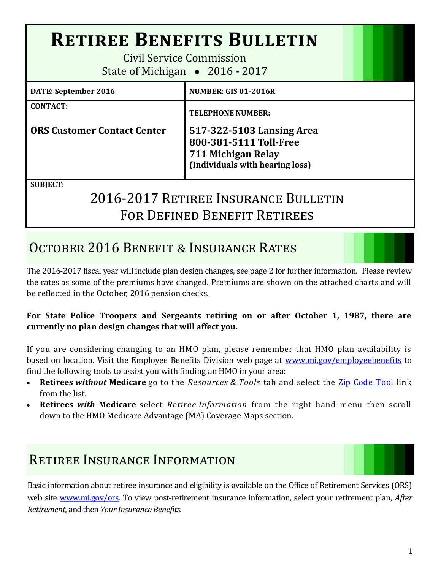# **Retiree Benefits Bulletin**

Civil Service Commission State of Michigan • 2016 - 2017

| <b>DATE: September 2016</b>        | <b>NUMBER: GIS 01-2016R</b>          |
|------------------------------------|--------------------------------------|
| <b>CONTACT:</b>                    | <b>TELEPHONE NUMBER:</b>             |
| <b>ORS Customer Contact Center</b> | 517-322-5103 Lansing Area            |
|                                    | 800-381-5111 Toll-Free               |
|                                    | 711 Michigan Relay                   |
|                                    | (Individuals with hearing loss)      |
| <b>SUBJECT:</b>                    |                                      |
|                                    | 2016-2017 RETIREE INSURANCE BULLETIN |

# 2016-2017 Retiree Insurance Bulletin FOR DEFINED BENEFIT RETIREES

# OCTOBER 2016 BENEFIT & INSURANCE RATES

The 2016-2017 fiscal year will include plan design changes, see page 2 for further information. Please review the rates as some of the premiums have changed. Premiums are shown on the attached charts and will be reflected in the October, 2016 pension checks.

### **For State Police Troopers and Sergeants retiring on or after October 1, 1987, there are currently no plan design changes that will affect you.**

If you are considering changing to an HMO plan, please remember that HMO plan availability is based on location. Visit the Employee Benefits Division web page at [www.mi.gov/employeebenefits](http://www.michigan.gov/employeebenefits) to find the following tools to assist you with finding an HMO in your area:

- **Retirees** *without* **Medicare** go to the *Resources & Tools* tab and select the [Zip Code Tool](https://civilservice.state.mi.us/MCSCZIPCodesBenefits/InsuranceCodes.aspx) link from the list.
- **Retirees** *with* **Medicare** select *Retiree Information* from the right hand menu then scroll down to the HMO Medicare Advantage (MA) Coverage Maps section.

# Retiree Insurance Information

Basic information about retiree insurance and eligibility is available on the Office of Retirement Services (ORS) web site [www.mi.gov/ors.](http://www.michigan.gov/orsstatedb/) To view post-retirement insurance information, select your retirement plan, *After Retirement*, and then *Your Insurance Benefits*.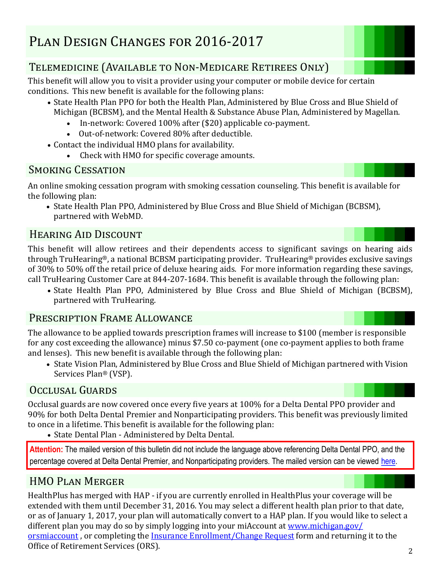## Telemedicine (Available to Non-Medicare Retirees Only)

This benefit will allow you to visit a provider using your computer or mobile device for certain conditions. This new benefit is available for the following plans:

- State Health Plan PPO for both the Health Plan, Administered by Blue Cross and Blue Shield of Michigan (BCBSM), and the Mental Health & Substance Abuse Plan, Administered by Magellan.
	- In-network: Covered 100% after (\$20) applicable co-payment.
	- Out-of-network: Covered 80% after deductible.
- Contact the individual HMO plans for availability.
	- Check with HMO for specific coverage amounts.

### SMOKING CESSATION

An online smoking cessation program with smoking cessation counseling. This benefit is available for the following plan:

• State Health Plan PPO, Administered by Blue Cross and Blue Shield of Michigan (BCBSM), partnered with WebMD.

## Hearing Aid Discount

This benefit will allow retirees and their dependents access to significant savings on hearing aids through TruHearing®, a national BCBSM participating provider. TruHearing® provides exclusive savings of 30% to 50% off the retail price of deluxe hearing aids. For more information regarding these savings, call TruHearing Customer Care at 844-207-1684. This benefit is available through the following plan:

 State Health Plan PPO, Administered by Blue Cross and Blue Shield of Michigan (BCBSM), partnered with TruHearing.

### Prescription Frame Allowance

The allowance to be applied towards prescription frames will increase to \$100 (member is responsible for any cost exceeding the allowance) minus \$7.50 co-payment (one co-payment applies to both frame and lenses). This new benefit is available through the following plan:

• State Vision Plan, Administered by Blue Cross and Blue Shield of Michigan partnered with Vision Services Plan® (VSP).

## Occlusal Guards

Occlusal guards are now covered once every five years at 100% for a Delta Dental PPO provider and 90% for both Delta Dental Premier and Nonparticipating providers. This benefit was previously limited to once in a lifetime. This benefit is available for the following plan:

• State Dental Plan - Administered by Delta Dental.

**Attention:** The mailed version of this bulletin did not include the language above referencing Delta Dental PPO, and the percentage covered at Delta Dental Premier, and Nonparticipating providers. The mailed version can be viewed [here.](http://www.michigan.gov/documents/mdcs/Retiree_Bulletin_534797_7.pdf) 

## HMO Plan Merger

HealthPlus has merged with HAP - if you are currently enrolled in HealthPlus your coverage will be extended with them until December 31, 2016. You may select a different health plan prior to that date, or as of January 1, 2017, your plan will automatically convert to a HAP plan. If you would like to select a different plan you may do so by simply logging into your miAccount at [www.michigan.gov/](michigan.gov/orsmiaccount) [orsmiaccount](michigan.gov/orsmiaccount) , or completing the [Insurance Enrollment/Change Request](http://www.michigan.gov/documents/orsstatedb/R0452GH_244205_7.pdf) form and returning it to the Office of Retirement Services (ORS).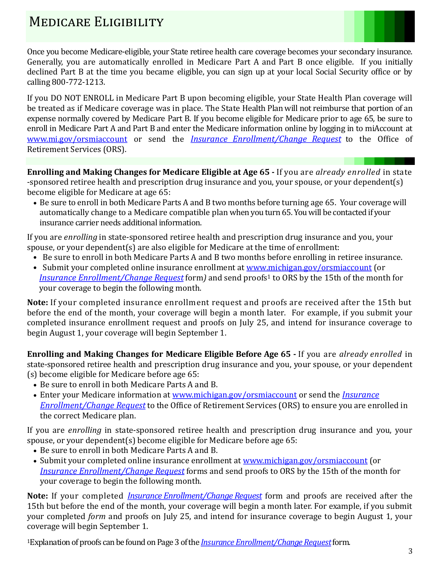# MEDICARE ELIGIBILITY



Once you become Medicare-eligible, your State retiree health care coverage becomes your secondary insurance. Generally, you are automatically enrolled in Medicare Part A and Part B once eligible. If you initially declined Part B at the time you became eligible, you can sign up at your local Social Security office or by calling 800-772-1213.

If you DO NOT ENROLL in Medicare Part B upon becoming eligible, your State Health Plan coverage will be treated as if Medicare coverage was in place. The State Health Plan will not reimburse that portion of an expense normally covered by Medicare Part B. If you become eligible for Medicare prior to age 65, be sure to enroll in Medicare Part A and Part B and enter the Medicare information online by logging in to miAccount at [www.mi.gov/orsmiaccount](http://www.mi.gov/orsmiaccount) or send the *[Insurance Enrollment/Change Request](http://www.michigan.gov/documents/orsstatedb/R0452GH_244205_7.pdf)* to the Office of Retirement Services (ORS).

**Enrolling and Making Changes for Medicare Eligible at Age 65 -** If you are *already enrolled* in state -sponsored retiree health and prescription drug insurance and you, your spouse, or your dependent(s) become eligible for Medicare at age 65:

• Be sure to enroll in both Medicare Parts A and B two months before turning age 65. Your coverage will automatically change to a Medicare compatible plan when you turn 65. You will be contacted if your insurance carrier needs additional information.

If you are *enrolling* in state-sponsored retiree health and prescription drug insurance and you, your spouse, or your dependent(s) are also eligible for Medicare at the time of enrollment:

- Be sure to enroll in both Medicare Parts A and B two months before enrolling in retiree insurance.
- Submit your completed online insurance enrollment at [www.michigan.gov/orsmiaccount](http://www.michigan.gov/orsmiaccount) (or *[Insurance Enrollment/Change Request](http://www.michigan.gov/documents/orsstatedb/R0452GH_244205_7.pdf)* form) and send proofs<sup>1</sup> to ORS by the 15th of the month for your coverage to begin the following month.

**Note:** If your completed insurance enrollment request and proofs are received after the 15th but before the end of the month, your coverage will begin a month later. For example, if you submit your completed insurance enrollment request and proofs on July 25, and intend for insurance coverage to begin August 1, your coverage will begin September 1.

**Enrolling and Making Changes for Medicare Eligible Before Age 65 -** If you are *already enrolled* in state-sponsored retiree health and prescription drug insurance and you, your spouse, or your dependent (s) become eligible for Medicare before age 65:

- Be sure to enroll in both Medicare Parts A and B.
- Enter your Medicare information at [www.michigan.gov/orsmiaccount](http://www.michigan.gov/orsmiaccount) or send the *[Insurance](http://www.michigan.gov/documents/orsstatedb/R0452GH_244205_7.pdf)  [Enrollment/Change Request](http://www.michigan.gov/documents/orsstatedb/R0452GH_244205_7.pdf)* to the Office of Retirement Services (ORS) to ensure you are enrolled in the correct Medicare plan.

If you are *enrolling* in state-sponsored retiree health and prescription drug insurance and you, your spouse, or your dependent(s) become eligible for Medicare before age 65:

- Be sure to enroll in both Medicare Parts A and B.
- Submit your completed online insurance enrollment at [www.michigan.gov/orsmiaccount](http://www.michigan.gov/orsmiaccount) (or *[Insurance Enrollment/Change Request](http://www.michigan.gov/documents/orsstatedb/R0452GH_244205_7.pdf)* forms and send proofs to ORS by the 15th of the month for your coverage to begin the following month.

**Note:** If your completed *[Insurance Enrollment/Change Request](http://www.michigan.gov/documents/orsstatedb/R0452GH_244205_7.pdf)* form and proofs are received after the 15th but before the end of the month, your coverage will begin a month later. For example, if you submit your completed *form* and proofs on July 25, and intend for insurance coverage to begin August 1, your coverage will begin September 1.

<sup>1</sup>Explanation of proofs can be found on Page 3 of the *[Insurance Enrollment/Change Request](http://www.michigan.gov/documents/orsstatedb/R0452GH_244205_7.pdf)*form.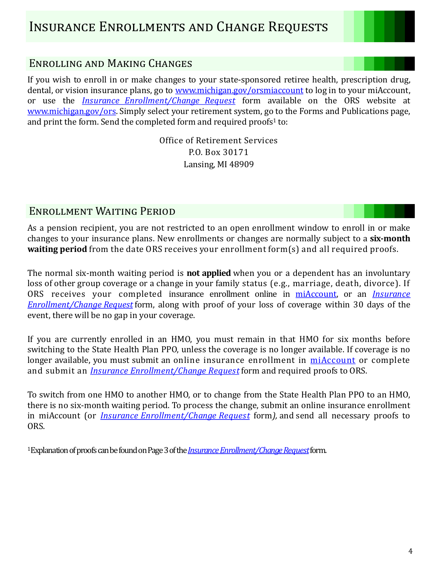## Enrolling and Making Changes

If you wish to enroll in or make changes to your state-sponsored retiree health, prescription drug, dental, or vision insurance plans, go to [www.michigan.gov/orsmiaccount](http://www.michigan.gov/orsmiaccount) to log in to your miAccount, or use the *[Insurance Enrollment/Change Request](http://www.michigan.gov/documents/orsstatedb/R0452GH_244205_7.pdf)* form available on the ORS website at [www.michigan.gov/ors.](http://www.michigan.gov/ors) Simply select your retirement system, go to the Forms and Publications page, and print the form. Send the completed form and required proofs $1$  to:

> Office of Retirement Services P.O. Box 30171 Lansing, MI 48909

### Enrollment Waiting Period

As a pension recipient, you are not restricted to an open enrollment window to enroll in or make changes to your insurance plans. New enrollments or changes are normally subject to a **six-month waiting period** from the date ORS receives your enrollment form(s) and all required proofs.

The normal six-month waiting period is **not applied** when you or a dependent has an involuntary loss of other group coverage or a change in your family status (e.g., marriage, death, divorce). If ORS receives your completed insurance enrollment online in [miAccount,](https://ssprd.state.mi.us/wss/security/login.do?method=showLogin&retirementSystemId=1030) or an *[Insurance](http://www.michigan.gov/documents/orsstatedb/R0452GH_244205_7.pdf)  [Enrollment/Change Request](http://www.michigan.gov/documents/orsstatedb/R0452GH_244205_7.pdf)* form, along with proof of your loss of coverage within 30 days of the event, there will be no gap in your coverage.

If you are currently enrolled in an HMO, you must remain in that HMO for six months before switching to the State Health Plan PPO, unless the coverage is no longer available. If coverage is no longer available, you must submit an online insurance enrollment in [miAccount](https://ssprd.state.mi.us/wss/security/login.do?method=showLogin&retirementSystemId=1030) or complete and submit an *[Insurance Enrollment/Change Request](http://www.michigan.gov/documents/orsstatedb/R0452GH_244205_7.pdf)* form and required proofs to ORS.

To switch from one HMO to another HMO, or to change from the State Health Plan PPO to an HMO, there is no six-month waiting period. To process the change, submit an online insurance enrollment in miAccount (or *[Insurance Enrollment/Change Request](http://www.michigan.gov/documents/orsstatedb/R0452GH_244205_7.pdf)* form*),* and send all necessary proofs to ORS.

<sup>1</sup>Explanation of proofs can be found on Page 3 of the *[Insurance Enrollment/Change Request](http://www.michigan.gov/documents/orsstatedb/R0452GH_244205_7.pdf)*form.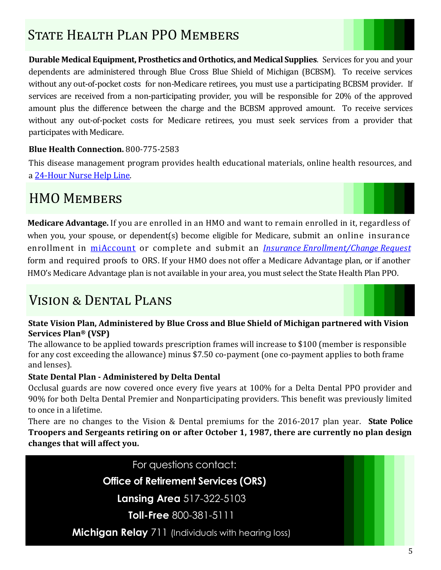# STATE HEALTH PLAN PPO MEMBERS

**Durable Medical Equipment, Prosthetics and Orthotics, and Medical Supplies**. Services for you and your dependents are administered through Blue Cross Blue Shield of Michigan (BCBSM). To receive services without any out-of-pocket costs for non-Medicare retirees, you must use a participating BCBSM provider. If services are received from a non-participating provider, you will be responsible for 20% of the approved amount plus the difference between the charge and the BCBSM approved amount. To receive services without any out-of-pocket costs for Medicare retirees, you must seek services from a provider that participates with Medicare.

#### **Blue Health Connection.** 800-775-2583

This disease management program provides health educational materials, online health resources, and a 24-[Hour Nurse Help Line](http://www.bcbsm.com/index/members/health-wellness/nurse-line.html).

# HMO MEMBERS

**Medicare Advantage.** If you are enrolled in an HMO and want to remain enrolled in it, regardless of when you, your spouse, or dependent(s) become eligible for Medicare, submit an online insurance enrollment in [miAccount](https://ssprd.state.mi.us/wss/security/login.do?method=showLogin&retirementSystemId=1030) or complete and submit an *[Insurance Enrollment/Change Request](http://www.michigan.gov/documents/orsstatedb/R0452GH_244205_7.pdf)* form and required proofs to ORS. If your HMO does not offer a Medicare Advantage plan, or if another HMO's Medicare Advantage plan is not available in your area, you must select the State Health Plan PPO.

# Vision & Dental Plans



#### **State Vision Plan, Administered by Blue Cross and Blue Shield of Michigan partnered with Vision Services Plan® (VSP)**

The allowance to be applied towards prescription frames will increase to \$100 (member is responsible for any cost exceeding the allowance) minus \$7.50 co-payment (one co-payment applies to both frame and lenses).

#### **State Dental Plan - Administered by Delta Dental**

Occlusal guards are now covered once every five years at 100% for a Delta Dental PPO provider and 90% for both Delta Dental Premier and Nonparticipating providers. This benefit was previously limited to once in a lifetime.

There are no changes to the Vision & Dental premiums for the 2016-2017 plan year. **State Police Troopers and Sergeants retiring on or after October 1, 1987, there are currently no plan design changes that will affect you.** 

For questions contact:

**Office of Retirement Services (ORS)**

**Lansing Area** 517-322-5103

**Toll-Free** 800-381-5111

**Michigan Relay** 711 (Individuals with hearing loss)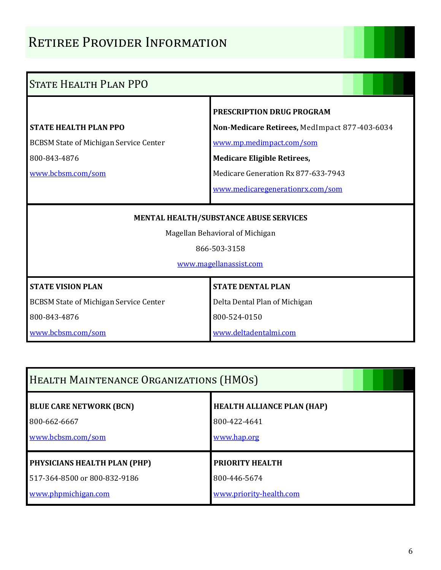# RETIREE PROVIDER INFORMATION

| <b>STATE HEALTH PLAN PPO</b>                                                                                        |                                                                                                                                                                                                                         |  |  |  |  |  |  |  |  |  |
|---------------------------------------------------------------------------------------------------------------------|-------------------------------------------------------------------------------------------------------------------------------------------------------------------------------------------------------------------------|--|--|--|--|--|--|--|--|--|
| <b>STATE HEALTH PLAN PPO</b><br><b>BCBSM State of Michigan Service Center</b><br>800-843-4876<br>www.bcbsm.com/som  | PRESCRIPTION DRUG PROGRAM<br>Non-Medicare Retirees, MedImpact 877-403-6034<br>www.mp.medimpact.com/som<br><b>Medicare Eligible Retirees,</b><br>Medicare Generation Rx 877-633-7943<br>www.medicaregenerationrx.com/som |  |  |  |  |  |  |  |  |  |
| MENTAL HEALTH/SUBSTANCE ABUSE SERVICES<br>Magellan Behavioral of Michigan<br>866-503-3158<br>www.magellanassist.com |                                                                                                                                                                                                                         |  |  |  |  |  |  |  |  |  |
| <b>STATE VISION PLAN</b><br><b>BCBSM State of Michigan Service Center</b>                                           | <b>STATE DENTAL PLAN</b><br>Delta Dental Plan of Michigan                                                                                                                                                               |  |  |  |  |  |  |  |  |  |
| 800-843-4876<br>www.bcbsm.com/som                                                                                   | 800-524-0150<br>www.deltadentalmi.com                                                                                                                                                                                   |  |  |  |  |  |  |  |  |  |

| HEALTH MAINTENANCE ORGANIZATIONS (HMOS) |                                   |
|-----------------------------------------|-----------------------------------|
| <b>BLUE CARE NETWORK (BCN)</b>          | <b>HEALTH ALLIANCE PLAN (HAP)</b> |
| 800-662-6667                            | 800-422-4641                      |
| www.bcbsm.com/som                       | www.hap.org                       |
| PHYSICIANS HEALTH PLAN (PHP)            | PRIORITY HEALTH                   |
| 517-364-8500 or 800-832-9186            | 800-446-5674                      |
| www.phpmichigan.com                     | www.priority-health.com           |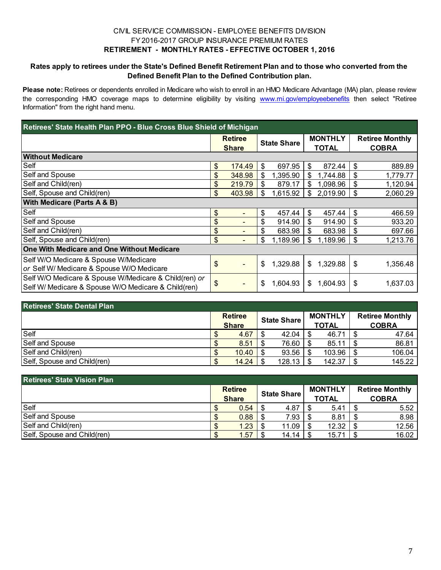#### CIVIL SERVICE COMMISSION - EMPLOYEE BENEFITS DIVISION FY 2016-2017 GROUP INSURANCE PREMIUM RATES **RETIREMENT - MONTHLY RATES - EFFECTIVE OCTOBER 1, 2016**

#### **Rates apply to retirees under the State's Defined Benefit Retirement Plan and to those who converted from the Defined Benefit Plan to the Defined Contribution plan.**

**Please note:** Retirees or dependents enrolled in Medicare who wish to enroll in an HMO Medicare Advantage (MA) plan, please review the corresponding HMO coverage maps to determine eligibility by visiting www.mi.gov/employeebenefits then select "Retiree Information" from the right hand menu.

| Retirees' State Health Plan PPO - Blue Cross Blue Shield of Michigan |    |                                |                    |          |                                |          |    |                                        |  |  |  |
|----------------------------------------------------------------------|----|--------------------------------|--------------------|----------|--------------------------------|----------|----|----------------------------------------|--|--|--|
|                                                                      |    | <b>Retiree</b><br><b>Share</b> | <b>State Share</b> |          | <b>MONTHLY</b><br><b>TOTAL</b> |          |    | <b>Retiree Monthly</b><br><b>COBRA</b> |  |  |  |
| <b>Without Medicare</b>                                              |    |                                |                    |          |                                |          |    |                                        |  |  |  |
| Self                                                                 | \$ | 174.49                         | \$                 | 697.95   | \$                             | 872.44   | \$ | 889.89                                 |  |  |  |
| Self and Spouse                                                      | \$ | 348.98                         | \$                 | 1,395.90 | \$                             | 1,744.88 | \$ | 1,779.77                               |  |  |  |
| Self and Child(ren)                                                  | \$ | 219.79                         | \$                 | 879.17   | \$                             | 1,098.96 | \$ | 1,120.94                               |  |  |  |
| Self, Spouse and Child(ren)                                          | \$ | 403.98                         | \$                 | 1,615.92 | \$                             | 2,019.90 | \$ | 2,060.29                               |  |  |  |
| <b>With Medicare (Parts A &amp; B)</b>                               |    |                                |                    |          |                                |          |    |                                        |  |  |  |
| Self                                                                 | \$ |                                | \$                 | 457.44   | $\mathfrak{S}$                 | 457.44   | \$ | 466.59                                 |  |  |  |
| Self and Spouse                                                      | \$ |                                | \$                 | 914.90   | \$                             | 914.90   | \$ | 933.20                                 |  |  |  |
| Self and Child(ren)                                                  | \$ |                                | \$                 | 683.98   | \$                             | 683.98   | \$ | 697.66                                 |  |  |  |
| Self, Spouse and Child(ren)                                          | \$ |                                | \$                 | 1,189.96 | \$                             | 1,189.96 | \$ | 1,213.76                               |  |  |  |
| One With Medicare and One Without Medicare                           |    |                                |                    |          |                                |          |    |                                        |  |  |  |
| Self W/O Medicare & Spouse W/Medicare                                | \$ |                                |                    |          |                                |          |    |                                        |  |  |  |
| or Self W/ Medicare & Spouse W/O Medicare                            |    |                                | \$                 | 1,329.88 | \$                             | 1,329.88 | \$ | 1,356.48                               |  |  |  |
| Self W/O Medicare & Spouse W/Medicare & Child(ren) or                | \$ |                                | \$                 | 1.604.93 | \$                             | 1,604.93 | \$ | 1,637.03                               |  |  |  |
| Self W/ Medicare & Spouse W/O Medicare & Child(ren)                  |    |                                |                    |          |                                |          |    |                                        |  |  |  |

| <b>Retirees' State Dental Plan</b> |    |                |      |                    |    |                         |  |                                        |  |  |  |
|------------------------------------|----|----------------|------|--------------------|----|-------------------------|--|----------------------------------------|--|--|--|
|                                    |    | <b>Retiree</b> |      | <b>State Share</b> |    | <b>MONTHLY</b><br>TOTAL |  | <b>Retiree Monthly</b><br><b>COBRA</b> |  |  |  |
|                                    |    | <b>Share</b>   |      |                    |    |                         |  |                                        |  |  |  |
| Self                               | ง  | 4.67           | - \$ | 42.04              | \$ | 46.71                   |  | 47.64                                  |  |  |  |
| Self and Spouse                    | ง  | 8.51           | - \$ | 76.60              |    | 85.11                   |  | 86.81                                  |  |  |  |
| Self and Child(ren)                | кD | 10.40          |      | 93.56              |    | 103.96                  |  | 106.04                                 |  |  |  |
| Self, Spouse and Child(ren)        |    | 14.24          |      | 128.13             |    | 142.37                  |  | 145.22                                 |  |  |  |

| <b>Retirees' State Vision Plan</b> |    |                |    |                    |  |                |  |                        |  |  |  |
|------------------------------------|----|----------------|----|--------------------|--|----------------|--|------------------------|--|--|--|
|                                    |    | <b>Retiree</b> |    |                    |  | <b>MONTHLY</b> |  | <b>Retiree Monthly</b> |  |  |  |
|                                    |    | <b>Share</b>   |    | <b>State Share</b> |  | <b>TOTAL</b>   |  | <b>COBRA</b>           |  |  |  |
| Self                               | кD | 0.54           |    | 4.87               |  | 5.41           |  | 5.52                   |  |  |  |
| Self and Spouse                    |    | 0.88           |    | 7.93               |  | 8.81           |  | 8.98                   |  |  |  |
| Self and Child(ren)                |    | 1.23           | -S | 11.09              |  | 12.32          |  | 12.56                  |  |  |  |
| Self, Spouse and Child(ren)        |    | .57            |    | 14.14              |  | 15.71          |  | 16.02                  |  |  |  |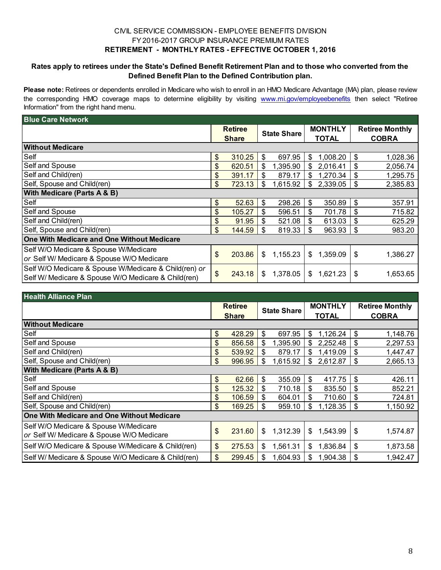#### CIVIL SERVICE COMMISSION - EMPLOYEE BENEFITS DIVISION FY 2016-2017 GROUP INSURANCE PREMIUM RATES **RETIREMENT - MONTHLY RATES - EFFECTIVE OCTOBER 1, 2016**

#### **Rates apply to retirees under the State's Defined Benefit Retirement Plan and to those who converted from the Defined Benefit Plan to the Defined Contribution plan.**

**Please note:** Retirees or dependents enrolled in Medicare who wish to enroll in an HMO Medicare Advantage (MA) plan, please review the corresponding HMO coverage maps to determine eligibility by visiting www.mi.gov/employeebenefits then select "Retiree Information" from the right hand menu.

| <b>Blue Care Network</b>                              |               |                |     |                    |                |              |                        |              |  |  |
|-------------------------------------------------------|---------------|----------------|-----|--------------------|----------------|--------------|------------------------|--------------|--|--|
|                                                       |               | <b>Retiree</b> |     | <b>State Share</b> | <b>MONTHLY</b> |              | <b>Retiree Monthly</b> |              |  |  |
|                                                       |               | <b>Share</b>   |     |                    |                | <b>TOTAL</b> |                        | <b>COBRA</b> |  |  |
| <b>Without Medicare</b>                               |               |                |     |                    |                |              |                        |              |  |  |
| Self                                                  | \$            | 310.25         | \$  | 697.95             | \$             | 1,008.20     | \$                     | 1,028.36     |  |  |
| Self and Spouse                                       | \$            | 620.51         | \$  | 1,395.90           | \$             | 2,016.41     | \$                     | 2,056.74     |  |  |
| Self and Child(ren)                                   | \$            | 391.17         | \$  | 879.17             | \$             | 1,270.34     | \$                     | 1,295.75     |  |  |
| Self, Spouse and Child(ren)                           | \$            | 723.13         | \$  | 1,615.92           | \$             | 2,339.05     | \$                     | 2,385.83     |  |  |
| With Medicare (Parts A & B)                           |               |                |     |                    |                |              |                        |              |  |  |
| Self                                                  | \$            | 52.63          | \$  | 298.26             | \$             | 350.89       | \$                     | 357.91       |  |  |
| Self and Spouse                                       | \$            | 105.27         | \$  | 596.51             | \$             | 701.78       | \$                     | 715.82       |  |  |
| Self and Child(ren)                                   | $\mathbf{\$}$ | 91.95          | \$. | 521.08             | \$             | 613.03       | \$                     | 625.29       |  |  |
| Self, Spouse and Child(ren)                           | \$            | 144.59         | S   | 819.33             | \$             | 963.93       | \$                     | 983.20       |  |  |
| One With Medicare and One Without Medicare            |               |                |     |                    |                |              |                        |              |  |  |
| Self W/O Medicare & Spouse W/Medicare                 |               |                |     |                    |                |              |                        |              |  |  |
| or Self W/ Medicare & Spouse W/O Medicare             | \$            | 203.86         | \$  | 1,155.23           | \$             | 1,359.09     | \$                     | 1,386.27     |  |  |
| Self W/O Medicare & Spouse W/Medicare & Child(ren) or | \$            | 243.18         | \$  | 1,378.05           | \$             | 1,621.23     | \$                     | 1,653.65     |  |  |
| Self W/ Medicare & Spouse W/O Medicare & Child(ren)   |               |                |     |                    |                |              |                        |              |  |  |

| <b>Health Alliance Plan</b>                         |    |                |    |                    |                |          |    |                        |  |  |  |
|-----------------------------------------------------|----|----------------|----|--------------------|----------------|----------|----|------------------------|--|--|--|
|                                                     |    | <b>Retiree</b> |    | <b>State Share</b> | <b>MONTHLY</b> |          |    | <b>Retiree Monthly</b> |  |  |  |
|                                                     |    | <b>Share</b>   |    |                    | <b>TOTAL</b>   |          |    | <b>COBRA</b>           |  |  |  |
| <b>Without Medicare</b>                             |    |                |    |                    |                |          |    |                        |  |  |  |
| Self                                                | \$ | 428.29         | \$ | 697.95             | \$             | 1,126.24 | \$ | 1,148.76               |  |  |  |
| Self and Spouse                                     | \$ | 856.58         | \$ | 1,395.90           | \$             | 2,252.48 | \$ | 2,297.53               |  |  |  |
| Self and Child(ren)                                 | \$ | 539.92         | \$ | 879.17             | \$             | 1,419.09 | \$ | 1,447.47               |  |  |  |
| Self, Spouse and Child(ren)                         | \$ | 996.95         | \$ | 1,615.92           | \$             | 2,612.87 | \$ | 2,665.13               |  |  |  |
| <b>With Medicare (Parts A &amp; B)</b>              |    |                |    |                    |                |          |    |                        |  |  |  |
| Self                                                | \$ | 62.66          | \$ | 355.09             | \$             | 417.75   | \$ | 426.11                 |  |  |  |
| Self and Spouse                                     | \$ | 125.32         | \$ | 710.18             | \$             | 835.50   | \$ | 852.21                 |  |  |  |
| Self and Child(ren)                                 | \$ | 106.59         | \$ | 604.01             | \$             | 710.60   | \$ | 724.81                 |  |  |  |
| Self, Spouse and Child(ren)                         | \$ | 169.25         | \$ | 959.10             | \$             | 1,128.35 | \$ | 1,150.92               |  |  |  |
| One With Medicare and One Without Medicare          |    |                |    |                    |                |          |    |                        |  |  |  |
| Self W/O Medicare & Spouse W/Medicare               |    |                |    |                    |                |          |    |                        |  |  |  |
| or Self W/ Medicare & Spouse W/O Medicare           | \$ | 231.60         | \$ | 1,312.39           | \$             | 1,543.99 | \$ | 1,574.87               |  |  |  |
| Self W/O Medicare & Spouse W/Medicare & Child(ren)  | \$ | 275.53         | \$ | 1,561.31           | \$             | 1,836.84 | \$ | 1,873.58               |  |  |  |
| Self W/ Medicare & Spouse W/O Medicare & Child(ren) | \$ | 299.45         | \$ | 1,604.93           | \$             | 1,904.38 | \$ | 1,942.47               |  |  |  |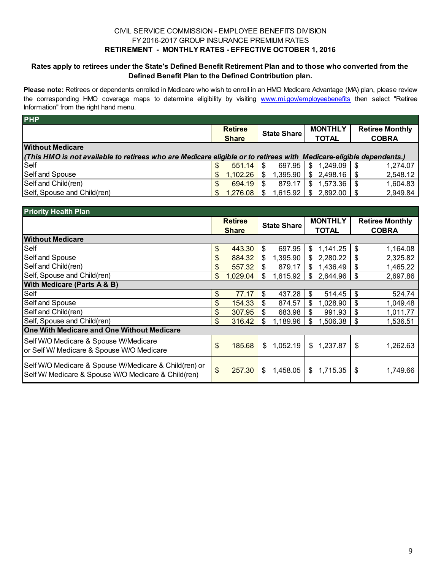#### CIVIL SERVICE COMMISSION - EMPLOYEE BENEFITS DIVISION FY 2016-2017 GROUP INSURANCE PREMIUM RATES **RETIREMENT - MONTHLY RATES - EFFECTIVE OCTOBER 1, 2016**

#### **Rates apply to retirees under the State's Defined Benefit Retirement Plan and to those who converted from the Defined Benefit Plan to the Defined Contribution plan.**

**Please note:** Retirees or dependents enrolled in Medicare who wish to enroll in an HMO Medicare Advantage (MA) plan, please review the corresponding HMO coverage maps to determine eligibility by visiting www.mi.gov/employeebenefits then select "Retiree Information" from the right hand menu.

|     |          |                                | <b>State Share</b> |          | <b>MONTHLY</b> |              | <b>Retiree Monthly</b><br><b>COBRA</b>                                                                                                                         |  |
|-----|----------|--------------------------------|--------------------|----------|----------------|--------------|----------------------------------------------------------------------------------------------------------------------------------------------------------------|--|
|     |          |                                |                    |          |                |              |                                                                                                                                                                |  |
|     | 551.14   |                                | 697.95             | S        | 1,249.09       |              | 1,274.07                                                                                                                                                       |  |
| \$. | 1,102.26 |                                | 1,395.90           | \$       |                |              | 2,548.12                                                                                                                                                       |  |
| \$. | 694.19   |                                | 879.17             | \$       |                |              | 1,604.83                                                                                                                                                       |  |
|     | 1,276.08 |                                |                    |          |                |              | 2,949.84                                                                                                                                                       |  |
|     |          | <b>Retiree</b><br><b>Share</b> |                    | 1,615.92 |                | <b>TOTAL</b> | (This HMO is not available to retirees who are Medicare eligible or to retirees with Medicare-eligible dependents.)<br>2,498.16<br>1,573.36<br>$2,892.00$   \$ |  |

| <b>Priority Health Plan</b>                                                                                  |               |                |    |                    |                |              |    |                        |  |  |  |
|--------------------------------------------------------------------------------------------------------------|---------------|----------------|----|--------------------|----------------|--------------|----|------------------------|--|--|--|
|                                                                                                              |               | <b>Retiree</b> |    | <b>State Share</b> | <b>MONTHLY</b> |              |    | <b>Retiree Monthly</b> |  |  |  |
|                                                                                                              |               | <b>Share</b>   |    |                    |                | <b>TOTAL</b> |    | <b>COBRA</b>           |  |  |  |
| <b>Without Medicare</b>                                                                                      |               |                |    |                    |                |              |    |                        |  |  |  |
| Self                                                                                                         | \$            | 443.30         | \$ | 697.95             | \$             | 1,141.25     | \$ | 1,164.08               |  |  |  |
| Self and Spouse                                                                                              | \$            | 884.32         | \$ | 1,395.90           | \$             | 2,280.22     | \$ | 2,325.82               |  |  |  |
| Self and Child(ren)                                                                                          | \$            | 557.32         | \$ | 879.17             | \$             | 1,436.49     | \$ | 1,465.22               |  |  |  |
| Self, Spouse and Child(ren)                                                                                  | \$            | 1,029.04       | \$ | 1,615.92           | \$             | 2,644.96     | \$ | 2,697.86               |  |  |  |
| <b>With Medicare (Parts A &amp; B)</b>                                                                       |               |                |    |                    |                |              |    |                        |  |  |  |
| Self                                                                                                         | \$            | 77.17          | \$ | 437.28             | \$             | 514.45       | \$ | 524.74                 |  |  |  |
| <b>Self and Spouse</b>                                                                                       | \$            | 154.33         | \$ | 874.57             | \$             | 1,028.90     | \$ | 1,049.48               |  |  |  |
| Self and Child(ren)                                                                                          | \$            | 307.95         | \$ | 683.98             | \$             | 991.93       | \$ | 1,011.77               |  |  |  |
| Self, Spouse and Child(ren)                                                                                  | \$            | 316.42         | \$ | 1,189.96           | \$             | 1,506.38     | \$ | 1,536.51               |  |  |  |
| One With Medicare and One Without Medicare                                                                   |               |                |    |                    |                |              |    |                        |  |  |  |
| Self W/O Medicare & Spouse W/Medicare                                                                        | \$            | 185.68         | \$ | 1,052.19           | \$             | 1,237.87     | \$ | 1,262.63               |  |  |  |
| or Self W/ Medicare & Spouse W/O Medicare                                                                    |               |                |    |                    |                |              |    |                        |  |  |  |
| Self W/O Medicare & Spouse W/Medicare & Child(ren) or<br>Self W/ Medicare & Spouse W/O Medicare & Child(ren) | $\mathcal{S}$ | 257.30         | \$ | 1,458.05           | \$             | 1,715.35     | \$ | 1,749.66               |  |  |  |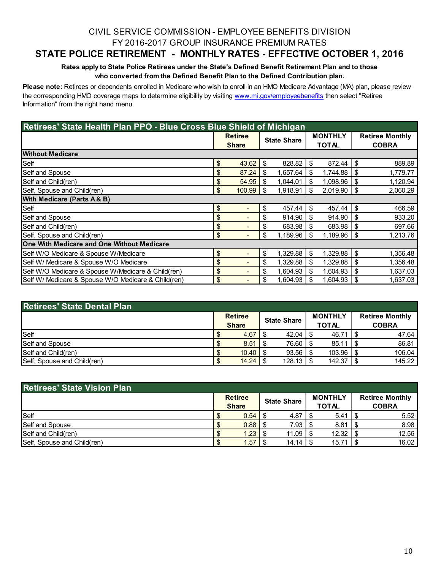### CIVIL SERVICE COMMISSION - EMPLOYEE BENEFITS DIVISION FY 2016-2017 GROUP INSURANCE PREMIUM RATES

### **STATE POLICE RETIREMENT - MONTHLY RATES - EFFECTIVE OCTOBER 1, 2016**

#### **Rates apply to State Police Retirees under the State's Defined Benefit Retirement Plan and to those who converted from the Defined Benefit Plan to the Defined Contribution plan.**

**Please note:** Retirees or dependents enrolled in Medicare who wish to enroll in an HMO Medicare Advantage (MA) plan, please review the corresponding HMO coverage maps to determine eligibility by visiting www.mi.gov/employeebenefits then select "Retiree Information" from the right hand menu.

| Retirees' State Health Plan PPO - Blue Cross Blue Shield of Michigan |    |                                |                    |          |                                |          |                                        |          |  |  |
|----------------------------------------------------------------------|----|--------------------------------|--------------------|----------|--------------------------------|----------|----------------------------------------|----------|--|--|
|                                                                      |    | <b>Retiree</b><br><b>Share</b> | <b>State Share</b> |          | <b>MONTHLY</b><br><b>TOTAL</b> |          | <b>Retiree Monthly</b><br><b>COBRA</b> |          |  |  |
| <b>Without Medicare</b>                                              |    |                                |                    |          |                                |          |                                        |          |  |  |
| Self                                                                 | \$ | 43.62                          | \$                 | 828.82   | \$.                            | 872.44   | S                                      | 889.89   |  |  |
| Self and Spouse                                                      | \$ | 87.24                          | \$                 | 1,657.64 | \$.                            | 1,744.88 | \$                                     | 1,779.77 |  |  |
| Self and Child(ren)                                                  | \$ | 54.95                          | \$                 | 1.044.01 |                                | 1,098.96 | S                                      | 1,120.94 |  |  |
| Self, Spouse and Child(ren)                                          | \$ | 100.99                         | \$                 | 1.918.91 | \$                             | 2,019.90 | S                                      | 2,060.29 |  |  |
| With Medicare (Parts A & B)                                          |    |                                |                    |          |                                |          |                                        |          |  |  |
| Self                                                                 | \$ |                                | \$                 | 457.44   | \$                             | 457.44   | \$                                     | 466.59   |  |  |
| Self and Spouse                                                      | \$ |                                | \$                 | 914.90   | \$                             | 914.90   | S                                      | 933.20   |  |  |
| Self and Child(ren)                                                  | \$ | $\qquad \qquad \blacksquare$   | \$                 | 683.98   | \$.                            | 683.98   | S                                      | 697.66   |  |  |
| Self, Spouse and Child(ren)                                          | \$ | $\qquad \qquad \blacksquare$   | \$                 | 1,189.96 | \$                             | 1,189.96 | \$                                     | 1,213.76 |  |  |
| One With Medicare and One Without Medicare                           |    |                                |                    |          |                                |          |                                        |          |  |  |
| Self W/O Medicare & Spouse W/Medicare                                | \$ | $\overline{\phantom{0}}$       | \$                 | 1,329.88 | \$.                            | 1,329.88 | \$                                     | 1,356.48 |  |  |
| Self W/ Medicare & Spouse W/O Medicare                               | \$ |                                | \$                 | 1,329.88 |                                | 1,329.88 | \$                                     | 1,356.48 |  |  |
| Self W/O Medicare & Spouse W/Medicare & Child(ren)                   | \$ |                                | \$                 | 1.604.93 |                                | 1,604.93 | \$                                     | 1,637.03 |  |  |
| Self W/ Medicare & Spouse W/O Medicare & Child(ren)                  | \$ |                                | \$                 | 1,604.93 |                                | 1,604.93 | \$                                     | 1,637.03 |  |  |

| <b>Retirees' State Dental Plan</b> |                                |                     |  |                         |  |                                        |  |
|------------------------------------|--------------------------------|---------------------|--|-------------------------|--|----------------------------------------|--|
|                                    | <b>Retiree</b><br><b>Share</b> | <b>State Share</b>  |  | <b>MONTHLY</b><br>TOTAL |  | <b>Retiree Monthly</b><br><b>COBRA</b> |  |
| Self                               | 4.67                           | 42.04               |  | 46.71                   |  | 47.64                                  |  |
| <b>Self and Spouse</b>             | 8.51                           | 76.60   \$          |  | 85.11                   |  | 86.81                                  |  |
| Self and Child(ren)                | 10.40                          | $93.56$   \$        |  | 103.96                  |  | 106.04                                 |  |
| Self, Spouse and Child(ren)        | 14.24                          | $128.13$ $\sqrt{5}$ |  | 142.37                  |  | 145.22                                 |  |

| <b>Retirees' State Vision Plan</b> |                                |                    |  |                                |  |                                        |  |
|------------------------------------|--------------------------------|--------------------|--|--------------------------------|--|----------------------------------------|--|
|                                    | <b>Retiree</b><br><b>Share</b> | <b>State Share</b> |  | <b>MONTHLY</b><br><b>TOTAL</b> |  | <b>Retiree Monthly</b><br><b>COBRA</b> |  |
| Self                               | 0.54                           | 4.87               |  | 5.41                           |  | 5.52                                   |  |
| Self and Spouse                    | $0.88$   \$                    | 7.93               |  | 8.81                           |  | 8.98                                   |  |
| Self and Child(ren)                | $1.23$ $\vert$                 | 11.09              |  | 12.32                          |  | 12.56                                  |  |
| Self, Spouse and Child(ren)        | 1.57                           | 14.14              |  | 15.71                          |  | 16.02                                  |  |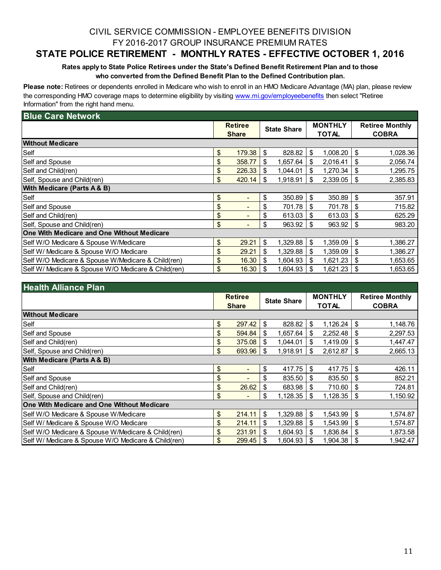### CIVIL SERVICE COMMISSION - EMPLOYEE BENEFITS DIVISION FY 2016-2017 GROUP INSURANCE PREMIUM RATES

### **STATE POLICE RETIREMENT - MONTHLY RATES - EFFECTIVE OCTOBER 1, 2016**

#### **Rates apply to State Police Retirees under the State's Defined Benefit Retirement Plan and to those who converted from the Defined Benefit Plan to the Defined Contribution plan.**

**Please note:** Retirees or dependents enrolled in Medicare who wish to enroll in an HMO Medicare Advantage (MA) plan, please review the corresponding HMO coverage maps to determine eligibility by visiting www.mi.gov/employeebenefits then select "Retiree Information" from the right hand menu.

| <b>Blue Care Network</b>                            |                                    |                    |          |                |              |                        |              |  |
|-----------------------------------------------------|------------------------------------|--------------------|----------|----------------|--------------|------------------------|--------------|--|
|                                                     | <b>Retiree</b>                     | <b>State Share</b> |          | <b>MONTHLY</b> |              | <b>Retiree Monthly</b> |              |  |
|                                                     | <b>Share</b>                       |                    |          |                | <b>TOTAL</b> |                        | <b>COBRA</b> |  |
| <b>Without Medicare</b>                             |                                    |                    |          |                |              |                        |              |  |
| Self                                                | \$<br>179.38                       | \$                 | 828.82   | \$             | 1,008.20     | \$                     | 1,028.36     |  |
| Self and Spouse                                     | \$<br>358.77                       | \$                 | 1,657.64 | \$             | 2,016.41     | \$                     | 2,056.74     |  |
| Self and Child(ren)                                 | \$<br>226.33                       | S                  | 1,044.01 |                | 1,270.34     | \$                     | 1,295.75     |  |
| Self, Spouse and Child(ren)                         | \$<br>420.14                       | \$                 | 1,918.91 | \$             | 2,339.05     | S                      | 2,385.83     |  |
| With Medicare (Parts A & B)                         |                                    |                    |          |                |              |                        |              |  |
| Self                                                | \$<br>$\qquad \qquad \blacksquare$ | \$                 | 350.89   | \$             | 350.89       | \$                     | 357.91       |  |
| Self and Spouse                                     | \$                                 | \$                 | 701.78   | S              | 701.78       | \$                     | 715.82       |  |
| Self and Child(ren)                                 | \$                                 | \$                 | 613.03   | S              | 613.03       | \$                     | 625.29       |  |
| Self, Spouse and Child(ren)                         | \$                                 | \$                 | 963.92   | S              | 963.92       | \$                     | 983.20       |  |
| One With Medicare and One Without Medicare          |                                    |                    |          |                |              |                        |              |  |
| Self W/O Medicare & Spouse W/Medicare               | \$<br>29.21                        | \$                 | 1,329.88 | \$             | 1,359.09     | \$                     | 1,386.27     |  |
| Self W/ Medicare & Spouse W/O Medicare              | \$<br>29.21                        | \$                 | 1,329.88 | S              | 1,359.09     | \$                     | 1,386.27     |  |
| Self W/O Medicare & Spouse W/Medicare & Child(ren)  | \$<br>16.30                        | \$                 | 1,604.93 | \$.            | 1,621.23     | \$                     | 1,653.65     |  |
| Self W/ Medicare & Spouse W/O Medicare & Child(ren) | \$<br>16.30                        | \$                 | 1,604.93 | \$             | 1,621.23     | \$                     | 1,653.65     |  |

| <b>Health Alliance Plan</b>                         |                                |                    |          |                                |          |                                        |          |
|-----------------------------------------------------|--------------------------------|--------------------|----------|--------------------------------|----------|----------------------------------------|----------|
|                                                     | <b>Retiree</b>                 | <b>State Share</b> |          | <b>MONTHLY</b><br><b>TOTAL</b> |          | <b>Retiree Monthly</b><br><b>COBRA</b> |          |
|                                                     | <b>Share</b>                   |                    |          |                                |          |                                        |          |
| <b>Without Medicare</b>                             |                                |                    |          |                                |          |                                        |          |
| Self                                                | \$<br>297.42                   | \$                 | 828.82   | \$                             | 1,126.24 | \$                                     | 1,148.76 |
| Self and Spouse                                     | \$<br>594.84                   | \$                 | 1,657.64 | - \$                           | 2,252.48 | \$                                     | 2,297.53 |
| Self and Child(ren)                                 | \$<br>375.08                   | \$                 | 1,044.01 | \$                             | 1,419.09 | \$                                     | 1,447.47 |
| Self, Spouse and Child(ren)                         | \$<br>693.96                   | \$                 | 1.918.91 | \$                             | 2,612.87 | \$                                     | 2,665.13 |
| With Medicare (Parts A & B)                         |                                |                    |          |                                |          |                                        |          |
| Self                                                | \$                             | \$                 | 417.75   | - \$                           | 417.75   | S                                      | 426.11   |
| Self and Spouse                                     | \$                             | \$                 | 835.50   | -S                             | 835.50   | S                                      | 852.21   |
| Self and Child(ren)                                 | \$<br>26.62                    | \$                 | 683.98   | -S                             | 710.60   | S                                      | 724.81   |
| Self, Spouse and Child(ren)                         | \$<br>$\overline{\phantom{0}}$ | \$                 | 1,128.35 | - \$                           | 1,128.35 | \$                                     | 1,150.92 |
| One With Medicare and One Without Medicare          |                                |                    |          |                                |          |                                        |          |
| Self W/O Medicare & Spouse W/Medicare               | \$<br>214.11                   | \$                 | 1,329.88 | \$                             | 1,543.99 | \$                                     | 1,574.87 |
| Self W/ Medicare & Spouse W/O Medicare              | \$<br>214.11                   | \$                 | 1,329.88 | \$                             | 1,543.99 | S                                      | 1,574.87 |
| Self W/O Medicare & Spouse W/Medicare & Child(ren)  | \$<br>231.91                   | \$                 | 1,604.93 |                                | 1,836.84 | \$                                     | 1,873.58 |
| Self W/ Medicare & Spouse W/O Medicare & Child(ren) | \$<br>299.45                   | \$                 | 1,604.93 |                                | 1,904.38 | \$                                     | 1,942.47 |